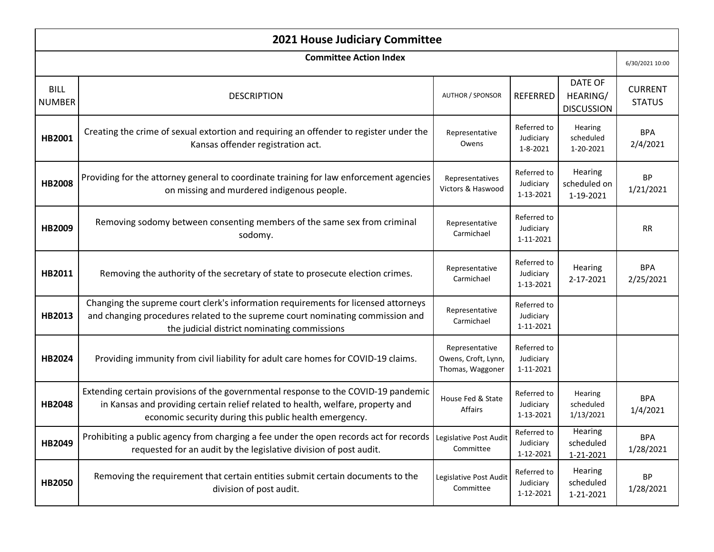|                              | <b>2021 House Judiciary Committee</b>                                                                                                                                                                                           |                                                           |                                       |                                          |                                 |  |  |
|------------------------------|---------------------------------------------------------------------------------------------------------------------------------------------------------------------------------------------------------------------------------|-----------------------------------------------------------|---------------------------------------|------------------------------------------|---------------------------------|--|--|
|                              | <b>Committee Action Index</b>                                                                                                                                                                                                   |                                                           |                                       |                                          | 6/30/2021 10:00                 |  |  |
| <b>BILL</b><br><b>NUMBER</b> | <b>DESCRIPTION</b>                                                                                                                                                                                                              | <b>AUTHOR / SPONSOR</b>                                   | <b>REFERRED</b>                       | DATE OF<br>HEARING/<br><b>DISCUSSION</b> | <b>CURRENT</b><br><b>STATUS</b> |  |  |
| HB2001                       | Creating the crime of sexual extortion and requiring an offender to register under the<br>Kansas offender registration act.                                                                                                     | Representative<br>Owens                                   | Referred to<br>Judiciary<br>1-8-2021  | Hearing<br>scheduled<br>1-20-2021        | <b>BPA</b><br>2/4/2021          |  |  |
| <b>HB2008</b>                | Providing for the attorney general to coordinate training for law enforcement agencies<br>on missing and murdered indigenous people.                                                                                            | Representatives<br>Victors & Haswood                      | Referred to<br>Judiciary<br>1-13-2021 | Hearing<br>scheduled on<br>1-19-2021     | <b>BP</b><br>1/21/2021          |  |  |
| HB2009                       | Removing sodomy between consenting members of the same sex from criminal<br>sodomy.                                                                                                                                             | Representative<br>Carmichael                              | Referred to<br>Judiciary<br>1-11-2021 |                                          | <b>RR</b>                       |  |  |
| HB2011                       | Removing the authority of the secretary of state to prosecute election crimes.                                                                                                                                                  | Representative<br>Carmichael                              | Referred to<br>Judiciary<br>1-13-2021 | Hearing<br>2-17-2021                     | <b>BPA</b><br>2/25/2021         |  |  |
| HB2013                       | Changing the supreme court clerk's information requirements for licensed attorneys<br>and changing procedures related to the supreme court nominating commission and<br>the judicial district nominating commissions            | Representative<br>Carmichael                              | Referred to<br>Judiciary<br>1-11-2021 |                                          |                                 |  |  |
| HB2024                       | Providing immunity from civil liability for adult care homes for COVID-19 claims.                                                                                                                                               | Representative<br>Owens, Croft, Lynn,<br>Thomas, Waggoner | Referred to<br>Judiciary<br>1-11-2021 |                                          |                                 |  |  |
| <b>HB2048</b>                | Extending certain provisions of the governmental response to the COVID-19 pandemic<br>in Kansas and providing certain relief related to health, welfare, property and<br>economic security during this public health emergency. | House Fed & State<br>Affairs                              | Referred to<br>Judiciary<br>1-13-2021 | Hearing<br>scheduled<br>1/13/2021        | <b>BPA</b><br>1/4/2021          |  |  |
| HB2049                       | Prohibiting a public agency from charging a fee under the open records act for records   Legislative Post Audit<br>requested for an audit by the legislative division of post audit.                                            | Committee                                                 | Referred to<br>Judiciary<br>1-12-2021 | Hearing<br>scheduled<br>1-21-2021        | <b>BPA</b><br>1/28/2021         |  |  |
| <b>HB2050</b>                | Removing the requirement that certain entities submit certain documents to the<br>division of post audit.                                                                                                                       | Legislative Post Audit<br>Committee                       | Referred to<br>Judiciary<br>1-12-2021 | Hearing<br>scheduled<br>1-21-2021        | <b>BP</b><br>1/28/2021          |  |  |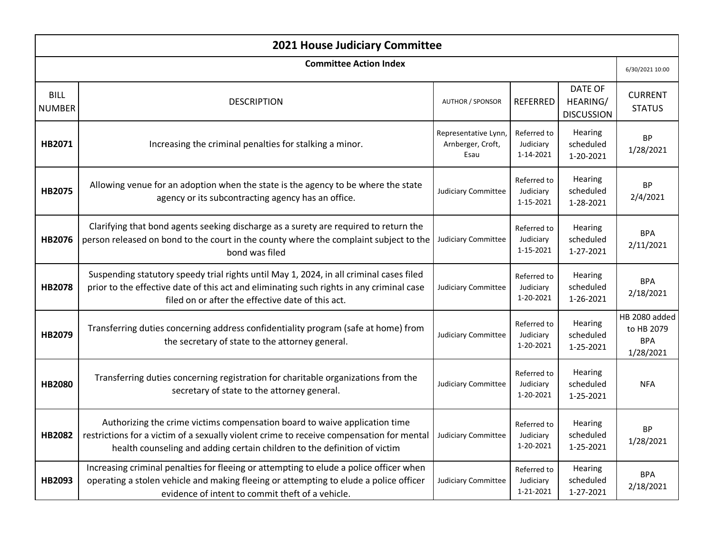|                              | <b>2021 House Judiciary Committee</b>                                                                                                                                                                                                               |                                                   |                                       |                                          |                                                        |  |
|------------------------------|-----------------------------------------------------------------------------------------------------------------------------------------------------------------------------------------------------------------------------------------------------|---------------------------------------------------|---------------------------------------|------------------------------------------|--------------------------------------------------------|--|
|                              | <b>Committee Action Index</b>                                                                                                                                                                                                                       |                                                   |                                       |                                          | 6/30/2021 10:00                                        |  |
| <b>BILL</b><br><b>NUMBER</b> | <b>DESCRIPTION</b>                                                                                                                                                                                                                                  | <b>AUTHOR / SPONSOR</b>                           | <b>REFERRED</b>                       | DATE OF<br>HEARING/<br><b>DISCUSSION</b> | <b>CURRENT</b><br><b>STATUS</b>                        |  |
| HB2071                       | Increasing the criminal penalties for stalking a minor.                                                                                                                                                                                             | Representative Lynn,<br>Arnberger, Croft,<br>Esau | Referred to<br>Judiciary<br>1-14-2021 | Hearing<br>scheduled<br>1-20-2021        | <b>BP</b><br>1/28/2021                                 |  |
| <b>HB2075</b>                | Allowing venue for an adoption when the state is the agency to be where the state<br>agency or its subcontracting agency has an office.                                                                                                             | <b>Judiciary Committee</b>                        | Referred to<br>Judiciary<br>1-15-2021 | Hearing<br>scheduled<br>1-28-2021        | <b>BP</b><br>2/4/2021                                  |  |
| HB2076                       | Clarifying that bond agents seeking discharge as a surety are required to return the<br>person released on bond to the court in the county where the complaint subject to the<br>bond was filed                                                     | <b>Judiciary Committee</b>                        | Referred to<br>Judiciary<br>1-15-2021 | Hearing<br>scheduled<br>1-27-2021        | <b>BPA</b><br>2/11/2021                                |  |
| <b>HB2078</b>                | Suspending statutory speedy trial rights until May 1, 2024, in all criminal cases filed<br>prior to the effective date of this act and eliminating such rights in any criminal case<br>filed on or after the effective date of this act.            | <b>Judiciary Committee</b>                        | Referred to<br>Judiciary<br>1-20-2021 | Hearing<br>scheduled<br>1-26-2021        | <b>BPA</b><br>2/18/2021                                |  |
| HB2079                       | Transferring duties concerning address confidentiality program (safe at home) from<br>the secretary of state to the attorney general.                                                                                                               | <b>Judiciary Committee</b>                        | Referred to<br>Judiciary<br>1-20-2021 | Hearing<br>scheduled<br>1-25-2021        | HB 2080 added<br>to HB 2079<br><b>BPA</b><br>1/28/2021 |  |
| <b>HB2080</b>                | Transferring duties concerning registration for charitable organizations from the<br>secretary of state to the attorney general.                                                                                                                    | <b>Judiciary Committee</b>                        | Referred to<br>Judiciary<br>1-20-2021 | Hearing<br>scheduled<br>1-25-2021        | <b>NFA</b>                                             |  |
| <b>HB2082</b>                | Authorizing the crime victims compensation board to waive application time<br>restrictions for a victim of a sexually violent crime to receive compensation for mental<br>health counseling and adding certain children to the definition of victim | <b>Judiciary Committee</b>                        | Referred to<br>Judiciary<br>1-20-2021 | Hearing<br>scheduled<br>1-25-2021        | <b>BP</b><br>1/28/2021                                 |  |
| HB2093                       | Increasing criminal penalties for fleeing or attempting to elude a police officer when<br>operating a stolen vehicle and making fleeing or attempting to elude a police officer<br>evidence of intent to commit theft of a vehicle.                 | <b>Judiciary Committee</b>                        | Referred to<br>Judiciary<br>1-21-2021 | Hearing<br>scheduled<br>1-27-2021        | <b>BPA</b><br>2/18/2021                                |  |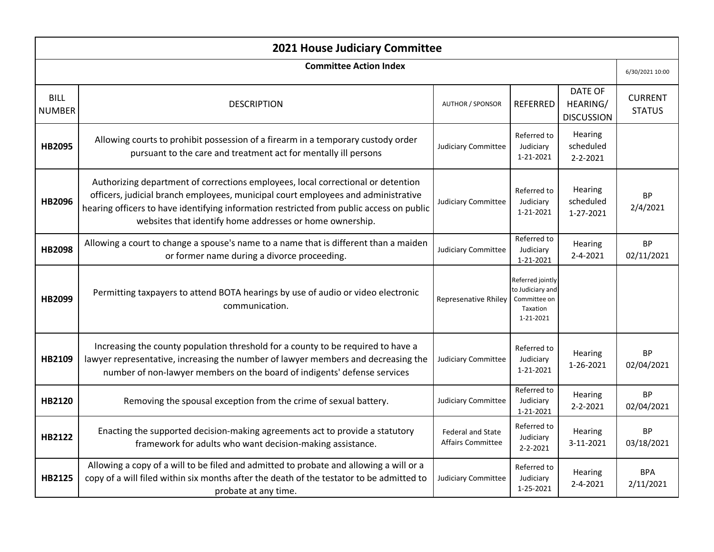|                               | 2021 House Judiciary Committee                                                                                                                                                                                                                                                                                                |                                                      |                                                                               |                                          |                                 |  |  |
|-------------------------------|-------------------------------------------------------------------------------------------------------------------------------------------------------------------------------------------------------------------------------------------------------------------------------------------------------------------------------|------------------------------------------------------|-------------------------------------------------------------------------------|------------------------------------------|---------------------------------|--|--|
| <b>Committee Action Index</b> |                                                                                                                                                                                                                                                                                                                               |                                                      |                                                                               |                                          |                                 |  |  |
| <b>BILL</b><br><b>NUMBER</b>  | <b>DESCRIPTION</b>                                                                                                                                                                                                                                                                                                            | <b>AUTHOR / SPONSOR</b>                              | <b>REFERRED</b>                                                               | DATE OF<br>HEARING/<br><b>DISCUSSION</b> | <b>CURRENT</b><br><b>STATUS</b> |  |  |
| <b>HB2095</b>                 | Allowing courts to prohibit possession of a firearm in a temporary custody order<br>pursuant to the care and treatment act for mentally ill persons                                                                                                                                                                           | Judiciary Committee                                  | Referred to<br>Judiciary<br>1-21-2021                                         | Hearing<br>scheduled<br>$2 - 2 - 2021$   |                                 |  |  |
| HB2096                        | Authorizing department of corrections employees, local correctional or detention<br>officers, judicial branch employees, municipal court employees and administrative<br>hearing officers to have identifying information restricted from public access on public<br>websites that identify home addresses or home ownership. | <b>Judiciary Committee</b>                           | Referred to<br>Judiciary<br>1-21-2021                                         | Hearing<br>scheduled<br>1-27-2021        | <b>BP</b><br>2/4/2021           |  |  |
| <b>HB2098</b>                 | Allowing a court to change a spouse's name to a name that is different than a maiden<br>or former name during a divorce proceeding.                                                                                                                                                                                           | <b>Judiciary Committee</b>                           | Referred to<br>Judiciary<br>1-21-2021                                         | Hearing<br>$2 - 4 - 2021$                | <b>BP</b><br>02/11/2021         |  |  |
| HB2099                        | Permitting taxpayers to attend BOTA hearings by use of audio or video electronic<br>communication.                                                                                                                                                                                                                            | Represenative Rhiley                                 | Referred jointly<br>to Judiciary and<br>Committee on<br>Taxation<br>1-21-2021 |                                          |                                 |  |  |
| HB2109                        | Increasing the county population threshold for a county to be required to have a<br>lawyer representative, increasing the number of lawyer members and decreasing the<br>number of non-lawyer members on the board of indigents' defense services                                                                             | <b>Judiciary Committee</b>                           | Referred to<br>Judiciary<br>1-21-2021                                         | Hearing<br>1-26-2021                     | <b>BP</b><br>02/04/2021         |  |  |
| HB2120                        | Removing the spousal exception from the crime of sexual battery.                                                                                                                                                                                                                                                              | <b>Judiciary Committee</b>                           | Referred to<br>Judiciary<br>1-21-2021                                         | Hearing<br>$2 - 2 - 2021$                | <b>BP</b><br>02/04/2021         |  |  |
| <b>HB2122</b>                 | Enacting the supported decision-making agreements act to provide a statutory<br>framework for adults who want decision-making assistance.                                                                                                                                                                                     | <b>Federal and State</b><br><b>Affairs Committee</b> | Referred to<br>Judiciary<br>$2 - 2 - 2021$                                    | Hearing<br>3-11-2021                     | BP<br>03/18/2021                |  |  |
| HB2125                        | Allowing a copy of a will to be filed and admitted to probate and allowing a will or a<br>copy of a will filed within six months after the death of the testator to be admitted to<br>probate at any time.                                                                                                                    | <b>Judiciary Committee</b>                           | Referred to<br>Judiciary<br>1-25-2021                                         | Hearing<br>$2 - 4 - 2021$                | <b>BPA</b><br>2/11/2021         |  |  |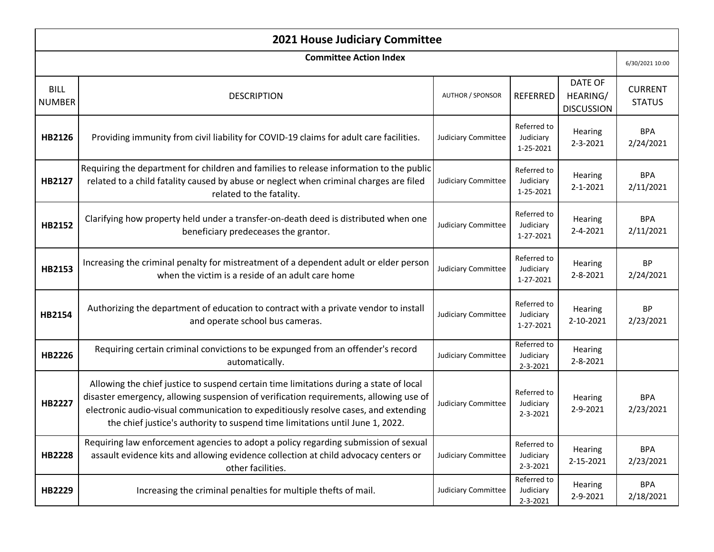|                              | <b>2021 House Judiciary Committee</b>                                                                                                                                                                                                                                                                                                                   |                            |                                            |                                          |                                 |  |  |
|------------------------------|---------------------------------------------------------------------------------------------------------------------------------------------------------------------------------------------------------------------------------------------------------------------------------------------------------------------------------------------------------|----------------------------|--------------------------------------------|------------------------------------------|---------------------------------|--|--|
|                              | <b>Committee Action Index</b>                                                                                                                                                                                                                                                                                                                           |                            |                                            |                                          | 6/30/2021 10:00                 |  |  |
| <b>BILL</b><br><b>NUMBER</b> | <b>DESCRIPTION</b>                                                                                                                                                                                                                                                                                                                                      | <b>AUTHOR / SPONSOR</b>    | REFERRED                                   | DATE OF<br>HEARING/<br><b>DISCUSSION</b> | <b>CURRENT</b><br><b>STATUS</b> |  |  |
| HB2126                       | Providing immunity from civil liability for COVID-19 claims for adult care facilities.                                                                                                                                                                                                                                                                  | Judiciary Committee        | Referred to<br>Judiciary<br>1-25-2021      | Hearing<br>2-3-2021                      | <b>BPA</b><br>2/24/2021         |  |  |
| HB2127                       | Requiring the department for children and families to release information to the public<br>related to a child fatality caused by abuse or neglect when criminal charges are filed<br>related to the fatality.                                                                                                                                           | Judiciary Committee        | Referred to<br>Judiciary<br>1-25-2021      | Hearing<br>$2 - 1 - 2021$                | <b>BPA</b><br>2/11/2021         |  |  |
| HB2152                       | Clarifying how property held under a transfer-on-death deed is distributed when one<br>beneficiary predeceases the grantor.                                                                                                                                                                                                                             | Judiciary Committee        | Referred to<br>Judiciary<br>1-27-2021      | Hearing<br>2-4-2021                      | <b>BPA</b><br>2/11/2021         |  |  |
| HB2153                       | Increasing the criminal penalty for mistreatment of a dependent adult or elder person<br>when the victim is a reside of an adult care home                                                                                                                                                                                                              | <b>Judiciary Committee</b> | Referred to<br>Judiciary<br>1-27-2021      | Hearing<br>2-8-2021                      | <b>BP</b><br>2/24/2021          |  |  |
| HB2154                       | Authorizing the department of education to contract with a private vendor to install<br>and operate school bus cameras.                                                                                                                                                                                                                                 | Judiciary Committee        | Referred to<br>Judiciary<br>1-27-2021      | Hearing<br>2-10-2021                     | <b>BP</b><br>2/23/2021          |  |  |
| HB2226                       | Requiring certain criminal convictions to be expunged from an offender's record<br>automatically.                                                                                                                                                                                                                                                       | <b>Judiciary Committee</b> | Referred to<br>Judiciary<br>2-3-2021       | Hearing<br>2-8-2021                      |                                 |  |  |
| HB2227                       | Allowing the chief justice to suspend certain time limitations during a state of local<br>disaster emergency, allowing suspension of verification requirements, allowing use of<br>electronic audio-visual communication to expeditiously resolve cases, and extending<br>the chief justice's authority to suspend time limitations until June 1, 2022. | <b>Judiciary Committee</b> | Referred to<br>Judiciary<br>$2 - 3 - 2021$ | Hearing<br>2-9-2021                      | <b>BPA</b><br>2/23/2021         |  |  |
| <b>HB2228</b>                | Requiring law enforcement agencies to adopt a policy regarding submission of sexual<br>assault evidence kits and allowing evidence collection at child advocacy centers or<br>other facilities.                                                                                                                                                         | Judiciary Committee        | Referred to<br>Judiciary<br>$2 - 3 - 2021$ | Hearing<br>2-15-2021                     | <b>BPA</b><br>2/23/2021         |  |  |
| HB2229                       | Increasing the criminal penalties for multiple thefts of mail.                                                                                                                                                                                                                                                                                          | Judiciary Committee        | Referred to<br>Judiciary<br>2-3-2021       | Hearing<br>2-9-2021                      | <b>BPA</b><br>2/18/2021         |  |  |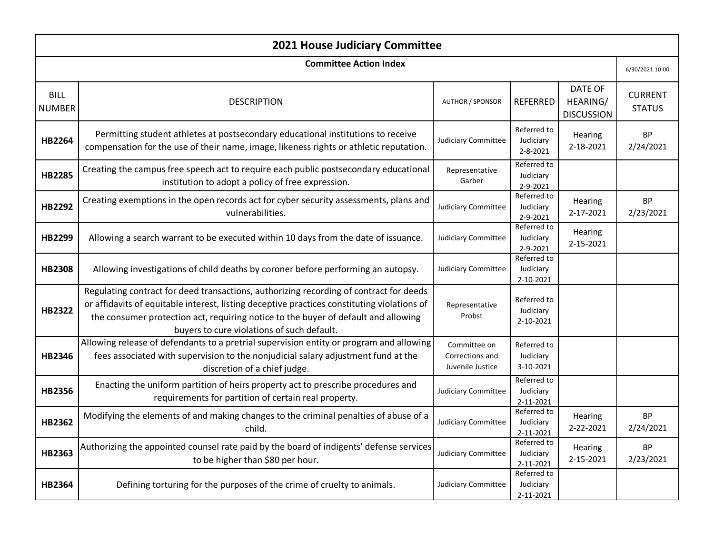|                              | <b>2021 House Judiciary Committee</b>                                                                                                                                                                                                                                                                                     |                                                     |                                            |                                          |                                 |  |  |
|------------------------------|---------------------------------------------------------------------------------------------------------------------------------------------------------------------------------------------------------------------------------------------------------------------------------------------------------------------------|-----------------------------------------------------|--------------------------------------------|------------------------------------------|---------------------------------|--|--|
|                              | <b>Committee Action Index</b>                                                                                                                                                                                                                                                                                             |                                                     |                                            |                                          | 6/30/2021 10:00                 |  |  |
| <b>BILL</b><br><b>NUMBER</b> | <b>DESCRIPTION</b>                                                                                                                                                                                                                                                                                                        | <b>AUTHOR / SPONSOR</b>                             | <b>REFERRED</b>                            | DATE OF<br>HEARING/<br><b>DISCUSSION</b> | <b>CURRENT</b><br><b>STATUS</b> |  |  |
| <b>HB2264</b>                | Permitting student athletes at postsecondary educational institutions to receive<br>compensation for the use of their name, image, likeness rights or athletic reputation.                                                                                                                                                | <b>Judiciary Committee</b>                          | Referred to<br>Judiciary<br>$2 - 8 - 2021$ | <b>Hearing</b><br>2-18-2021              | <b>BP</b><br>2/24/2021          |  |  |
| <b>HB2285</b>                | Creating the campus free speech act to require each public postsecondary educational<br>institution to adopt a policy of free expression.                                                                                                                                                                                 | Representative<br>Garber                            | Referred to<br>Judiciary<br>2-9-2021       |                                          |                                 |  |  |
| HB2292                       | Creating exemptions in the open records act for cyber security assessments, plans and<br>vulnerabilities.                                                                                                                                                                                                                 | <b>Judiciary Committee</b>                          | Referred to<br>Judiciary<br>2-9-2021       | Hearing<br>2-17-2021                     | <b>BP</b><br>2/23/2021          |  |  |
| HB2299                       | Allowing a search warrant to be executed within 10 days from the date of issuance.                                                                                                                                                                                                                                        | <b>Judiciary Committee</b>                          | Referred to<br>Judiciary<br>2-9-2021       | Hearing<br>2-15-2021                     |                                 |  |  |
| <b>HB2308</b>                | Allowing investigations of child deaths by coroner before performing an autopsy.                                                                                                                                                                                                                                          | <b>Judiciary Committee</b>                          | Referred to<br>Judiciary<br>2-10-2021      |                                          |                                 |  |  |
| <b>HB2322</b>                | Regulating contract for deed transactions, authorizing recording of contract for deeds<br>or affidavits of equitable interest, listing deceptive practices constituting violations of<br>the consumer protection act, requiring notice to the buyer of default and allowing<br>buyers to cure violations of such default. | Representative<br>Probst                            | Referred to<br>Judiciary<br>2-10-2021      |                                          |                                 |  |  |
| <b>HB2346</b>                | Allowing release of defendants to a pretrial supervision entity or program and allowing<br>fees associated with supervision to the nonjudicial salary adjustment fund at the<br>discretion of a chief judge.                                                                                                              | Committee on<br>Corrections and<br>Juvenile Justice | Referred to<br>Judiciary<br>3-10-2021      |                                          |                                 |  |  |
| HB2356                       | Enacting the uniform partition of heirs property act to prescribe procedures and<br>requirements for partition of certain real property.                                                                                                                                                                                  | <b>Judiciary Committee</b>                          | Referred to<br>Judiciary<br>2-11-2021      |                                          |                                 |  |  |
| HB2362                       | Modifying the elements of and making changes to the criminal penalties of abuse of a<br>child.                                                                                                                                                                                                                            | <b>Judiciary Committee</b>                          | Referred to<br>Judiciary<br>2-11-2021      | Hearing<br>2-22-2021                     | BP<br>2/24/2021                 |  |  |
| <b>HB2363</b>                | Authorizing the appointed counsel rate paid by the board of indigents' defense services<br>to be higher than \$80 per hour.                                                                                                                                                                                               | <b>Judiciary Committee</b>                          | Referred to<br>Judiciary<br>2-11-2021      | <b>Hearing</b><br>2-15-2021              | <b>BP</b><br>2/23/2021          |  |  |
| <b>HB2364</b>                | Defining torturing for the purposes of the crime of cruelty to animals.                                                                                                                                                                                                                                                   | <b>Judiciary Committee</b>                          | Referred to<br>Judiciary<br>2-11-2021      |                                          |                                 |  |  |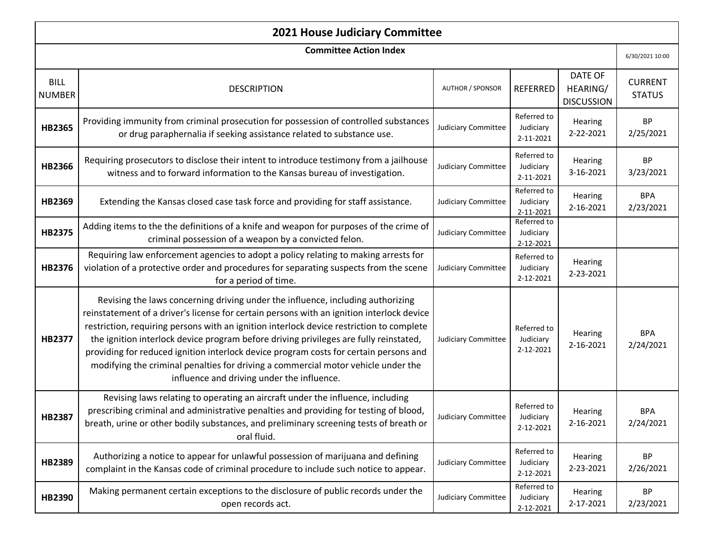| <b>2021 House Judiciary Committee</b> |                                                                                                                                                                                                                                                                                                                                                                                                                                                                                                                                                                                               |                            |                                       |                                          |                                 |  |
|---------------------------------------|-----------------------------------------------------------------------------------------------------------------------------------------------------------------------------------------------------------------------------------------------------------------------------------------------------------------------------------------------------------------------------------------------------------------------------------------------------------------------------------------------------------------------------------------------------------------------------------------------|----------------------------|---------------------------------------|------------------------------------------|---------------------------------|--|
|                                       | <b>Committee Action Index</b>                                                                                                                                                                                                                                                                                                                                                                                                                                                                                                                                                                 |                            |                                       |                                          | 6/30/2021 10:00                 |  |
| <b>BILL</b><br><b>NUMBER</b>          | <b>DESCRIPTION</b>                                                                                                                                                                                                                                                                                                                                                                                                                                                                                                                                                                            | <b>AUTHOR / SPONSOR</b>    | <b>REFERRED</b>                       | DATE OF<br>HEARING/<br><b>DISCUSSION</b> | <b>CURRENT</b><br><b>STATUS</b> |  |
| <b>HB2365</b>                         | Providing immunity from criminal prosecution for possession of controlled substances<br>or drug paraphernalia if seeking assistance related to substance use.                                                                                                                                                                                                                                                                                                                                                                                                                                 | <b>Judiciary Committee</b> | Referred to<br>Judiciary<br>2-11-2021 | Hearing<br>2-22-2021                     | <b>BP</b><br>2/25/2021          |  |
| HB2366                                | Requiring prosecutors to disclose their intent to introduce testimony from a jailhouse<br>witness and to forward information to the Kansas bureau of investigation.                                                                                                                                                                                                                                                                                                                                                                                                                           | Judiciary Committee        | Referred to<br>Judiciary<br>2-11-2021 | Hearing<br>3-16-2021                     | <b>BP</b><br>3/23/2021          |  |
| HB2369                                | Extending the Kansas closed case task force and providing for staff assistance.                                                                                                                                                                                                                                                                                                                                                                                                                                                                                                               | <b>Judiciary Committee</b> | Referred to<br>Judiciary<br>2-11-2021 | Hearing<br>2-16-2021                     | <b>BPA</b><br>2/23/2021         |  |
| <b>HB2375</b>                         | Adding items to the the definitions of a knife and weapon for purposes of the crime of<br>criminal possession of a weapon by a convicted felon.                                                                                                                                                                                                                                                                                                                                                                                                                                               | <b>Judiciary Committee</b> | Referred to<br>Judiciary<br>2-12-2021 |                                          |                                 |  |
| HB2376                                | Requiring law enforcement agencies to adopt a policy relating to making arrests for<br>violation of a protective order and procedures for separating suspects from the scene<br>for a period of time.                                                                                                                                                                                                                                                                                                                                                                                         | Judiciary Committee        | Referred to<br>Judiciary<br>2-12-2021 | Hearing<br>2-23-2021                     |                                 |  |
| HB2377                                | Revising the laws concerning driving under the influence, including authorizing<br>reinstatement of a driver's license for certain persons with an ignition interlock device<br>restriction, requiring persons with an ignition interlock device restriction to complete<br>the ignition interlock device program before driving privileges are fully reinstated,<br>providing for reduced ignition interlock device program costs for certain persons and<br>modifying the criminal penalties for driving a commercial motor vehicle under the<br>influence and driving under the influence. | Judiciary Committee        | Referred to<br>Judiciary<br>2-12-2021 | Hearing<br>2-16-2021                     | <b>BPA</b><br>2/24/2021         |  |
| <b>HB2387</b>                         | Revising laws relating to operating an aircraft under the influence, including<br>prescribing criminal and administrative penalties and providing for testing of blood,<br>breath, urine or other bodily substances, and preliminary screening tests of breath or<br>oral fluid.                                                                                                                                                                                                                                                                                                              | Judiciary Committee        | Referred to<br>Judiciary<br>2-12-2021 | Hearing<br>2-16-2021                     | <b>BPA</b><br>2/24/2021         |  |
| HB2389                                | Authorizing a notice to appear for unlawful possession of marijuana and defining<br>complaint in the Kansas code of criminal procedure to include such notice to appear.                                                                                                                                                                                                                                                                                                                                                                                                                      | <b>Judiciary Committee</b> | Referred to<br>Judiciary<br>2-12-2021 | Hearing<br>2-23-2021                     | <b>BP</b><br>2/26/2021          |  |
| HB2390                                | Making permanent certain exceptions to the disclosure of public records under the<br>open records act.                                                                                                                                                                                                                                                                                                                                                                                                                                                                                        | Judiciary Committee        | Referred to<br>Judiciary<br>2-12-2021 | Hearing<br>2-17-2021                     | BP<br>2/23/2021                 |  |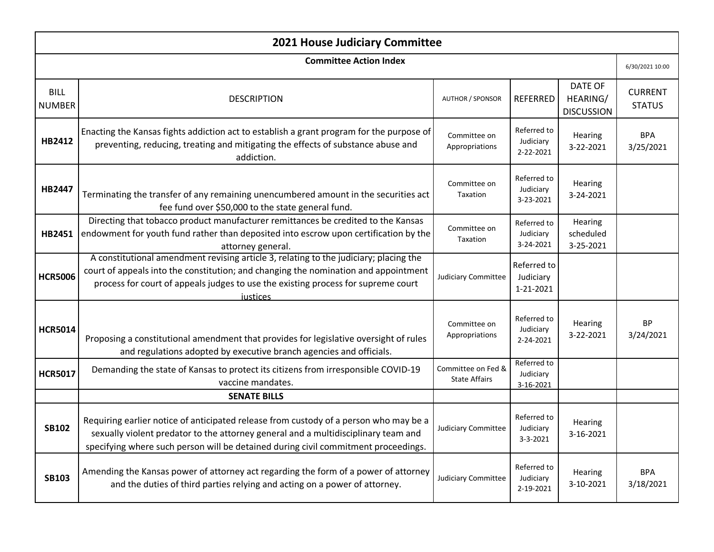|                              | 2021 House Judiciary Committee                                                                                                                                                                                                                                                |                                            |                                            |                                          |                                 |  |  |
|------------------------------|-------------------------------------------------------------------------------------------------------------------------------------------------------------------------------------------------------------------------------------------------------------------------------|--------------------------------------------|--------------------------------------------|------------------------------------------|---------------------------------|--|--|
|                              | <b>Committee Action Index</b>                                                                                                                                                                                                                                                 |                                            |                                            |                                          | 6/30/2021 10:00                 |  |  |
| <b>BILL</b><br><b>NUMBER</b> | <b>DESCRIPTION</b>                                                                                                                                                                                                                                                            | <b>AUTHOR / SPONSOR</b>                    | <b>REFERRED</b>                            | DATE OF<br>HEARING/<br><b>DISCUSSION</b> | <b>CURRENT</b><br><b>STATUS</b> |  |  |
| HB2412                       | Enacting the Kansas fights addiction act to establish a grant program for the purpose of<br>preventing, reducing, treating and mitigating the effects of substance abuse and<br>addiction.                                                                                    | Committee on<br>Appropriations             | Referred to<br>Judiciary<br>2-22-2021      | Hearing<br>3-22-2021                     | <b>BPA</b><br>3/25/2021         |  |  |
| <b>HB2447</b>                | Terminating the transfer of any remaining unencumbered amount in the securities act<br>fee fund over \$50,000 to the state general fund.                                                                                                                                      | Committee on<br>Taxation                   | Referred to<br>Judiciary<br>3-23-2021      | <b>Hearing</b><br>3-24-2021              |                                 |  |  |
| HB2451                       | Directing that tobacco product manufacturer remittances be credited to the Kansas<br>endowment for youth fund rather than deposited into escrow upon certification by the<br>attorney general.                                                                                | Committee on<br>Taxation                   | Referred to<br>Judiciary<br>3-24-2021      | Hearing<br>scheduled<br>3-25-2021        |                                 |  |  |
| <b>HCR5006</b>               | A constitutional amendment revising article 3, relating to the judiciary; placing the<br>court of appeals into the constitution; and changing the nomination and appointment<br>process for court of appeals judges to use the existing process for supreme court<br>justices | Judiciary Committee                        | Referred to<br>Judiciary<br>1-21-2021      |                                          |                                 |  |  |
| <b>HCR5014</b>               | Proposing a constitutional amendment that provides for legislative oversight of rules<br>and regulations adopted by executive branch agencies and officials.                                                                                                                  | Committee on<br>Appropriations             | Referred to<br>Judiciary<br>2-24-2021      | Hearing<br>3-22-2021                     | <b>BP</b><br>3/24/2021          |  |  |
| <b>HCR5017</b>               | Demanding the state of Kansas to protect its citizens from irresponsible COVID-19<br>vaccine mandates.                                                                                                                                                                        | Committee on Fed &<br><b>State Affairs</b> | Referred to<br>Judiciary<br>3-16-2021      |                                          |                                 |  |  |
|                              | <b>SENATE BILLS</b>                                                                                                                                                                                                                                                           |                                            |                                            |                                          |                                 |  |  |
| <b>SB102</b>                 | Requiring earlier notice of anticipated release from custody of a person who may be a<br>sexually violent predator to the attorney general and a multidisciplinary team and<br>specifying where such person will be detained during civil commitment proceedings.             | <b>Judiciary Committee</b>                 | Referred to<br>Judiciary<br>$3 - 3 - 2021$ | <b>Hearing</b><br>3-16-2021              |                                 |  |  |
| <b>SB103</b>                 | Amending the Kansas power of attorney act regarding the form of a power of attorney<br>and the duties of third parties relying and acting on a power of attorney.                                                                                                             | Judiciary Committee                        | Referred to<br>Judiciary<br>2-19-2021      | <b>Hearing</b><br>3-10-2021              | <b>BPA</b><br>3/18/2021         |  |  |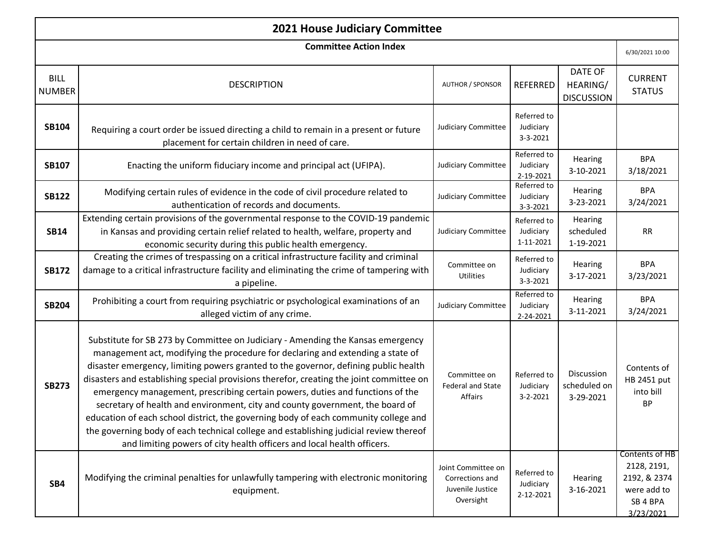| <b>2021 House Judiciary Committee</b> |                                                                                                                                                                                                                                                                                                                                                                                                                                                                                                                                                                                                                                                                                                                                                                                 |                                                                        |                                            |                                          |                                                                                       |  |
|---------------------------------------|---------------------------------------------------------------------------------------------------------------------------------------------------------------------------------------------------------------------------------------------------------------------------------------------------------------------------------------------------------------------------------------------------------------------------------------------------------------------------------------------------------------------------------------------------------------------------------------------------------------------------------------------------------------------------------------------------------------------------------------------------------------------------------|------------------------------------------------------------------------|--------------------------------------------|------------------------------------------|---------------------------------------------------------------------------------------|--|
| <b>Committee Action Index</b>         |                                                                                                                                                                                                                                                                                                                                                                                                                                                                                                                                                                                                                                                                                                                                                                                 |                                                                        |                                            |                                          |                                                                                       |  |
| <b>BILL</b><br><b>NUMBER</b>          | <b>DESCRIPTION</b>                                                                                                                                                                                                                                                                                                                                                                                                                                                                                                                                                                                                                                                                                                                                                              | <b>AUTHOR / SPONSOR</b>                                                | <b>REFERRED</b>                            | DATE OF<br>HEARING/<br><b>DISCUSSION</b> | <b>CURRENT</b><br><b>STATUS</b>                                                       |  |
| <b>SB104</b>                          | Requiring a court order be issued directing a child to remain in a present or future<br>placement for certain children in need of care.                                                                                                                                                                                                                                                                                                                                                                                                                                                                                                                                                                                                                                         | <b>Judiciary Committee</b>                                             | Referred to<br>Judiciary<br>$3 - 3 - 2021$ |                                          |                                                                                       |  |
| <b>SB107</b>                          | Enacting the uniform fiduciary income and principal act (UFIPA).                                                                                                                                                                                                                                                                                                                                                                                                                                                                                                                                                                                                                                                                                                                | <b>Judiciary Committee</b>                                             | Referred to<br>Judiciary<br>2-19-2021      | Hearing<br>3-10-2021                     | <b>BPA</b><br>3/18/2021                                                               |  |
| <b>SB122</b>                          | Modifying certain rules of evidence in the code of civil procedure related to<br>authentication of records and documents.                                                                                                                                                                                                                                                                                                                                                                                                                                                                                                                                                                                                                                                       | <b>Judiciary Committee</b>                                             | Referred to<br>Judiciary<br>3-3-2021       | <b>Hearing</b><br>3-23-2021              | <b>BPA</b><br>3/24/2021                                                               |  |
| <b>SB14</b>                           | Extending certain provisions of the governmental response to the COVID-19 pandemic<br>in Kansas and providing certain relief related to health, welfare, property and<br>economic security during this public health emergency.                                                                                                                                                                                                                                                                                                                                                                                                                                                                                                                                                 | <b>Judiciary Committee</b>                                             | Referred to<br>Judiciary<br>1-11-2021      | Hearing<br>scheduled<br>1-19-2021        | <b>RR</b>                                                                             |  |
| <b>SB172</b>                          | Creating the crimes of trespassing on a critical infrastructure facility and criminal<br>damage to a critical infrastructure facility and eliminating the crime of tampering with<br>a pipeline.                                                                                                                                                                                                                                                                                                                                                                                                                                                                                                                                                                                | Committee on<br><b>Utilities</b>                                       | Referred to<br>Judiciary<br>3-3-2021       | Hearing<br>3-17-2021                     | <b>BPA</b><br>3/23/2021                                                               |  |
| <b>SB204</b>                          | Prohibiting a court from requiring psychiatric or psychological examinations of an<br>alleged victim of any crime.                                                                                                                                                                                                                                                                                                                                                                                                                                                                                                                                                                                                                                                              | <b>Judiciary Committee</b>                                             | Referred to<br>Judiciary<br>2-24-2021      | Hearing<br>3-11-2021                     | <b>BPA</b><br>3/24/2021                                                               |  |
| <b>SB273</b>                          | Substitute for SB 273 by Committee on Judiciary - Amending the Kansas emergency<br>management act, modifying the procedure for declaring and extending a state of<br>disaster emergency, limiting powers granted to the governor, defining public health<br>disasters and establishing special provisions therefor, creating the joint committee on<br>emergency management, prescribing certain powers, duties and functions of the<br>secretary of health and environment, city and county government, the board of<br>education of each school district, the governing body of each community college and<br>the governing body of each technical college and establishing judicial review thereof<br>and limiting powers of city health officers and local health officers. | Committee on<br>Federal and State<br>Affairs                           | Referred to<br>Judiciary<br>$3 - 2 - 2021$ | Discussion<br>scheduled on<br>3-29-2021  | Contents of<br>HB 2451 put<br>into bill<br><b>BP</b>                                  |  |
| SB4                                   | Modifying the criminal penalties for unlawfully tampering with electronic monitoring<br>equipment.                                                                                                                                                                                                                                                                                                                                                                                                                                                                                                                                                                                                                                                                              | Joint Committee on<br>Corrections and<br>Juvenile Justice<br>Oversight | Referred to<br>Judiciary<br>2-12-2021      | Hearing<br>3-16-2021                     | Contents of HB<br>2128, 2191,<br>2192, & 2374<br>were add to<br>SB 4 BPA<br>3/23/2021 |  |